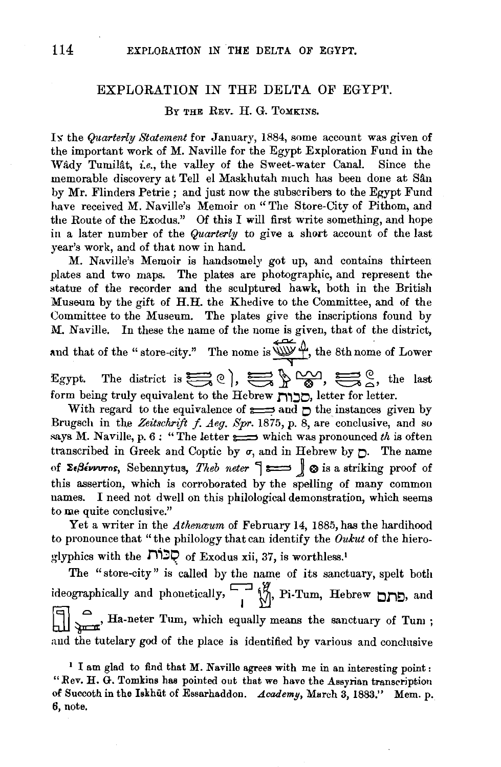## EXPLORATION IN THE DELTA OF EGYPT.

## BY THE REV. H. G. TOMKINS.

Ix the *Quarterly Statement* for January, 1884, some account was given of the important work of M. Naville for the Egypt Exploration Fund in the Wady Tumilat, *i.e.*, the valley of the Sweet-water Canal. Since the memorable discovery at Tell el Maskhutah much has been done at S&n by Mr. Flinders Petrie; and just now the subscribers to the Egypt Fund have received M. Naville's Memoir on "The Store-City of Pithom, and the Route of the Exodus." Of this I will first write something, and hope in a later number of the *Quarterly* to give a short account of the last year's work, and of that now in hand.

M. Naville's Memoir is handsomely got up, and contains thirteen plates and two maps. The plates are photographic, and represent the statue of the recorder and the sculptured hawk, both in the British Museum by the gift of H.H. the Khedive to the Committee, and of the Committee to the Museum. The plates give the inscriptions found by M. Naville. In these the name of the nome is given, that of the district, and that of the "store-city." The nome is  $\overbrace{\text{uw}}$  f, the 8th nome of Lower Egypt. The district is  $\sum_{i=1}^{\infty} 0$ ,  $\sum_{i=1}^{\infty} \sum_{j=1}^{\infty} 0$ , the last form being truly equivalent to the Hebrew **I"I,::JO,** letter for letter.

With regard to the equivalence of  $\equiv$  and  $\uparrow$  the instances given by Brugsch in the Zeitschrift f. Aeg. Spr. 1875, p. 8, are conclusive, and so says M. Naville, p. 6: "The letter  $\implies$  which was pronounced *th* is often transcribed in Greek and Coptic by  $\sigma$ , and in Hebrew by  $\mathcal{D}$ . The name of  $\Sigma_{\epsilon}$ *Sevvros*, Sebennytus, *Theb neter*  $\sim$   $\mathbb{S}_{\epsilon}$  as a striking proof of this assertion, which is corroborated by the spelling of many common names. I need not dwell on this philological demonstration, which seems to me quite conclusive."

Yet a writer in the *Athenaum* of February 14, 1885, has the hardihood to pronounce that "the philology that can identify the *Oukut* of the hiero $g$ lyphics with the  $\Box \Box \Box \Box$  of Exodus xii, 37, is worthless.<sup>1</sup>

The "store-city" is called by the name of its sanctuary, spelt both ideographically and phonetically,~~, Pi-Turn, Hebrew **01"1£:),** and  $\left\{\begin{array}{l}\Box\\ \Box\end{array}\right\}$   $\left\{\begin{array}{l}\Box\\ \Box\end{array}\right\}$  Ha-neter Tum, which equally means the sanctuary of Tum; and the tutelary god of the place is identified by various and conclusive

<sup>&</sup>lt;sup>1</sup> I am glad to find that M. Naville agrees with me in an interesting point: "Rev. H. G. Tomkins has pointed out that we have the Assyrian transcription of Succoth in the Iskhut of Essarhaddon. *Academy*, March 3, 1883." Mem. p. 6, note.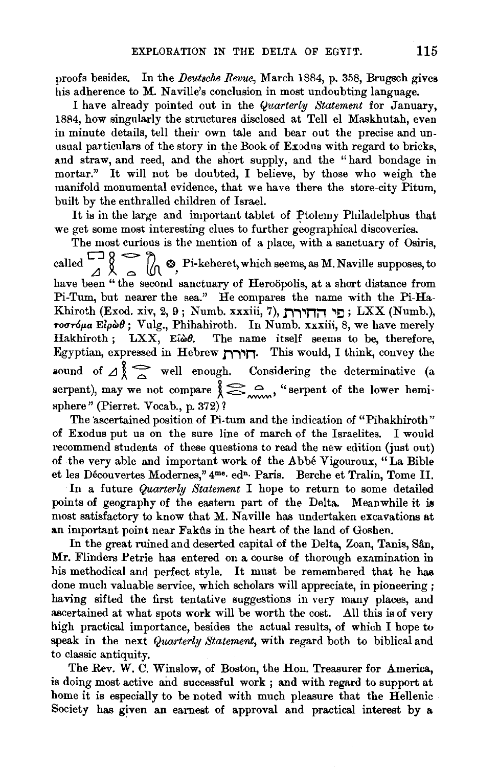proofs besides. In the *IJeutsche Revue,* March 1884, p. 358, Brugsch gives his adherence to M. Naville's conclusion in most undoubting language.

I have already pointed out in the *Quarterly Statement* for January, 1884, how singularly the structures disclosed at Tell el Maskhutah, even in minute details, tell their own tale and bear out the precise and unusual particulars of the story in the Book of Exodus with regard to bricks, and straw, and reed, and the short supply, and the "hard bondage in mortar." It will not be doubted, I believe, by those who weigh the manifold monumental evidence, that we have there the store-city Pitum, built by the enthralled children of Israel.

It is in the large and important tablet of Ptolemy Philadelphus that we get some most interesting clues to further geographical discoveries.

The most curious is the mention of a place, with a sanctuary of Osiris, called  $\begin{array}{c} \n\Box \n\end{array}$  8  $\begin{array}{c} \n\Box \n\end{array}$  8 Pi-keheret, which seems, as M. Naville supposes, to have been " the second sanctuary of Heroöpolis, at a short distance from Pi-Tum, but nearer the sea." He compares the name with the Pi-Ha-Khiroth (Exod. xiv, 2, 9; Numb. xxxiii, 7), החירת  $\Box$  LXX (Numb.),  $\tau$ *oστόμα* Είρὼθ; Vulg., Phihahiroth. In Numb. xxxiii, 8, we have merely Hakhiroth; LXX, Ei $\omega\theta$ . The name itself seems to be, therefore, Egyptian, expressed in Hebrew **J'i""''ln.** This would, I think, convey the  $\sum_{v}$  of  $\Delta$   $\sum_{v}$  well enough. Considering the determinative (a bund of  $\Delta \chi \approx$  well enough. Considering the determinative (a erpent), may we not compare  $\chi \approx$   $\sim$  "serpent of the lower hemisphere" (Pierret. Vocab., p. 372)?

The ascertained position of Pi-tum and the indication of "Pihakhiroth" of Exodus put us on the sure line of march of the Israelites. I would recommend students of these questions to read the new edition (just out) of the very able and important work of the Abbe Vigouroux, "La Bible et les Découvertes Modernes," 4me. edn. Paris. Berche et Tralin, Tome II.

In a future *Quarterly Statement* I hope to return to some detailed points of geography of the eastern part of the Delta. Meanwhile it is most satisfactory to know that M. Naville has undertaken excavations at an important point near Fakfts in the heart of the land of Goshen.

In the great ruined and deserted capital of the Delta, Zoan, Tanis, Sân, Mr. Flinders Petrie has entered on a course of thorough examination in his methodical and perfect style. It must be remembered that he has done much valuable service, which scholars will appreciate, in pioneering ; having sifted the first tentative suggestions in very many places, and ascertained at what spots work will be worth the cost. All this is of very high practical importance, besides the actual results, of which I hope to speak in the next *Quarterly Statement,* with regard both to biblical and to classic antiquity.

The Rev. W. C. Winslow, of Boston, the Hon. Treasurer for America, is doing most active and successful work ; and with regard to support at home it is especially to be noted with much pleasure that the Hellenic Society has given an earnest of approval and practical interest by a